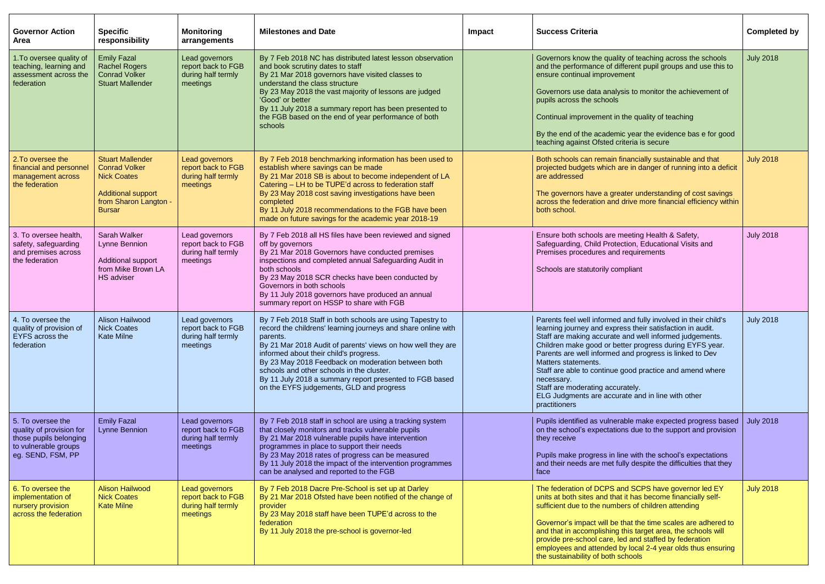| <b>Governor Action</b><br>Area                                                                                       | <b>Specific</b><br>responsibility                                                                                                            | <b>Monitoring</b><br>arrangements                                      | <b>Milestones and Date</b>                                                                                                                                                                                                                                                                                                                                                                                                                                | Impact | <b>Success Criteria</b>                                                                                                                                                                                                                                                                                                                                                                                                                                                                                                 | Completed by     |
|----------------------------------------------------------------------------------------------------------------------|----------------------------------------------------------------------------------------------------------------------------------------------|------------------------------------------------------------------------|-----------------------------------------------------------------------------------------------------------------------------------------------------------------------------------------------------------------------------------------------------------------------------------------------------------------------------------------------------------------------------------------------------------------------------------------------------------|--------|-------------------------------------------------------------------------------------------------------------------------------------------------------------------------------------------------------------------------------------------------------------------------------------------------------------------------------------------------------------------------------------------------------------------------------------------------------------------------------------------------------------------------|------------------|
| 1. To oversee quality of<br>teaching, learning and<br>assessment across the<br>federation                            | <b>Emily Fazal</b><br><b>Rachel Rogers</b><br><b>Conrad Volker</b><br><b>Stuart Mallender</b>                                                | Lead governors<br>report back to FGB<br>during half termly<br>meetings | By 7 Feb 2018 NC has distributed latest lesson observation<br>and book scrutiny dates to staff<br>By 21 Mar 2018 governors have visited classes to<br>understand the class structure<br>By 23 May 2018 the vast majority of lessons are judged<br>'Good' or better<br>By 11 July 2018 a summary report has been presented to<br>the FGB based on the end of year performance of both<br>schools                                                           |        | Governors know the quality of teaching across the schools<br>and the performance of different pupil groups and use this to<br>ensure continual improvement<br>Governors use data analysis to monitor the achievement of<br>pupils across the schools<br>Continual improvement in the quality of teaching<br>By the end of the academic year the evidence bas e for good<br>teaching against Ofsted criteria is secure                                                                                                   | <b>July 2018</b> |
| 2. To oversee the<br>financial and personnel<br>management across<br>the federation                                  | <b>Stuart Mallender</b><br><b>Conrad Volker</b><br><b>Nick Coates</b><br><b>Additional support</b><br>from Sharon Langton -<br><b>Bursar</b> | Lead governors<br>report back to FGB<br>during half termly<br>meetings | By 7 Feb 2018 benchmarking information has been used to<br>establish where savings can be made<br>By 21 Mar 2018 SB is about to become independent of LA<br>Catering – LH to be TUPE'd across to federation staff<br>By 23 May 2018 cost saving investigations have been<br>completed<br>By 11 July 2018 recommendations to the FGB have been<br>made on future savings for the academic year 2018-19                                                     |        | Both schools can remain financially sustainable and that<br>projected budgets which are in danger of running into a deficit<br>are addressed<br>The governors have a greater understanding of cost savings<br>across the federation and drive more financial efficiency within<br>both school.                                                                                                                                                                                                                          | <b>July 2018</b> |
| 3. To oversee health,<br>safety, safeguarding<br>and premises across<br>the federation                               | Sarah Walker<br>Lynne Bennion<br>Additional support<br>from Mike Brown LA<br><b>HS</b> adviser                                               | Lead governors<br>report back to FGB<br>during half termly<br>meetings | By 7 Feb 2018 all HS files have been reviewed and signed<br>off by governors<br>By 21 Mar 2018 Governors have conducted premises<br>inspections and completed annual Safeguarding Audit in<br>both schools<br>By 23 May 2018 SCR checks have been conducted by<br>Governors in both schools<br>By 11 July 2018 governors have produced an annual<br>summary report on HSSP to share with FGB                                                              |        | Ensure both schools are meeting Health & Safety,<br>Safeguarding, Child Protection, Educational Visits and<br>Premises procedures and requirements<br>Schools are statutorily compliant                                                                                                                                                                                                                                                                                                                                 | <b>July 2018</b> |
| 4. To oversee the<br>quality of provision of<br><b>EYFS</b> across the<br>federation                                 | <b>Alison Hailwood</b><br><b>Nick Coates</b><br><b>Kate Milne</b>                                                                            | Lead governors<br>report back to FGB<br>during half termly<br>meetings | By 7 Feb 2018 Staff in both schools are using Tapestry to<br>record the childrens' learning journeys and share online with<br>parents.<br>By 21 Mar 2018 Audit of parents' views on how well they are<br>informed about their child's progress.<br>By 23 May 2018 Feedback on moderation between both<br>schools and other schools in the cluster.<br>By 11 July 2018 a summary report presented to FGB based<br>on the EYFS judgements, GLD and progress |        | Parents feel well informed and fully involved in their child's<br>learning journey and express their satisfaction in audit.<br>Staff are making accurate and well informed judgements.<br>Children make good or better progress during EYFS year.<br>Parents are well informed and progress is linked to Dev<br>Matters statements.<br>Staff are able to continue good practice and amend where<br>necessary.<br>Staff are moderating accurately.<br>ELG Judgments are accurate and in line with other<br>practitioners | <b>July 2018</b> |
| 5. To oversee the<br>quality of provision for<br>those pupils belonging<br>to vulnerable groups<br>eg. SEND, FSM, PP | <b>Emily Fazal</b><br><b>Lynne Bennion</b>                                                                                                   | Lead governors<br>report back to FGB<br>during half termly<br>meetings | By 7 Feb 2018 staff in school are using a tracking system<br>that closely monitors and tracks vulnerable pupils<br>By 21 Mar 2018 vulnerable pupils have intervention<br>programmes in place to support their needs<br>By 23 May 2018 rates of progress can be measured<br>By 11 July 2018 the impact of the intervention programmes<br>can be analysed and reported to the FGB                                                                           |        | Pupils identified as vulnerable make expected progress based<br>on the school's expectations due to the support and provision<br>they receive<br>Pupils make progress in line with the school's expectations<br>and their needs are met fully despite the difficulties that they<br>face                                                                                                                                                                                                                                | <b>July 2018</b> |
| 6. To oversee the<br>implementation of<br>nursery provision<br>across the federation                                 | <b>Alison Hailwood</b><br><b>Nick Coates</b><br><b>Kate Milne</b>                                                                            | Lead governors<br>report back to FGB<br>during half termly<br>meetings | By 7 Feb 2018 Dacre Pre-School is set up at Darley<br>By 21 Mar 2018 Ofsted have been notified of the change of<br>provider<br>By 23 May 2018 staff have been TUPE'd across to the<br>federation<br>By 11 July 2018 the pre-school is governor-led                                                                                                                                                                                                        |        | The federation of DCPS and SCPS have governor led EY<br>units at both sites and that it has become financially self-<br>sufficient due to the numbers of children attending<br>Governor's impact will be that the time scales are adhered to<br>and that in accomplishing this target area, the schools will<br>provide pre-school care, led and staffed by federation<br>employees and attended by local 2-4 year olds thus ensuring<br>the sustainability of both schools                                             | <b>July 2018</b> |